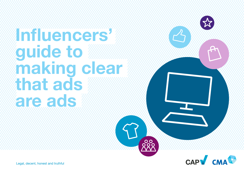#### **Influencers' guide to making clear that ads are ads**



Legal, decent, honest and truthful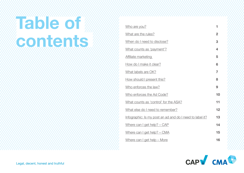### **Table of contents**

| 1              |
|----------------|
| $\overline{2}$ |
| 3              |
| 4              |
| 5              |
| 6              |
| $\overline{7}$ |
| 8              |
| 9              |
| 10             |
| 11             |
| 12             |
| 13             |
| 14             |
| 15             |
| 16             |
|                |

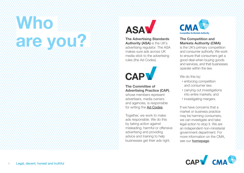### <span id="page-2-0"></span> **Who are you**



#### **The Advertising Standards Authority (ASA)** is the UK's advertising regulator. The ASA makes sure ads across UK media stick to the advertising rules (the Ad Codes).



#### **The Committee of Advertising Practice (CAP)**,

whose members represent advertisers, media owners and agencies, is responsible for writing the [Ad Codes](https://www.asa.org.uk/codes-and-rulings/advertising-codes.html).

Together, we work to make ads responsible. We do this by taking action against misleading, harmful or offensive advertising and providing advice and training to help businesses get their ads right.



#### **The Competition and Markets Authority (CMA)**

is the UK's primary competition and consumer authority. We work to ensure that consumers get a good deal when buying goods and services, and that businesses operate within the law.

We do this by:

- enforcing competition and consumer law;
- carrying out investigations into entire markets; and
- investigating mergers.

If we have concerns that a market or business practice may be harming consumers, we can investigate and take legal action to stop it. We are an independent non-ministerial government department. For more information on the CMA, see our **[homepage](https://www.gov.uk/government/organisations/competition-and-markets-authority)**.

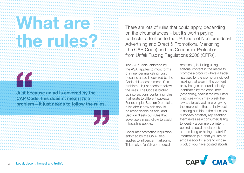### <span id="page-3-0"></span>**What are the rules?**



**Just because an ad is covered by the CAP Code, this doesn't mean it's a problem – it just needs to follow the rules.**



There are lots of rules that could apply, depending on the circumstances – but it's worth paying particular attention to the UK Code of Non-broadcast Advertising and Direct & Promotional Marketing (the [CAP Code](https://www.asa.org.uk/codes-and-rulings/advertising-codes/non-broadcast-code.html)) and the Consumer Protection from Unfair Trading Regulations 2008 (CPRs).

The CAP Code, enforced by the ASA, applies to most forms of influencer marketing. Just because an ad is covered by the Code, this doesn't mean it's a problem – it just needs to follow the rules. The Code is broken up into sections containing rules that relate to different subjects. For example, [Section 2](https://www.asa.org.uk/type/non_broadcast/code_section/02.html) contains rules about how ads should be recognisable as ads, and [Section 3](https://www.asa.org.uk/type/non_broadcast/code_section/03.html) sets out rules that advertisers must follow to avoid misleading people.

Consumer protection legislation, enforced by the CMA, also applies to influencer marketing. This makes 'unfair commercial

practices', including using editorial content in the media to promote a product where a trader has paid for the promotion without making that clear in the content or by images or sounds clearly identifiable by the consumer (advertorial), against the law. Other practices which may break the law are falsely claiming or giving the impression that an individual is acting outside of their business purposes or falsely representing themselves as a consumer; failing to identify a commercial intent behind a social media post; and omitting or hiding 'material' information (e.g. that you are an ambassador for a brand whose product you have posted about).

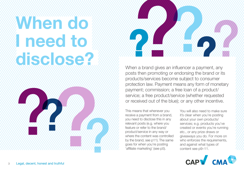### <span id="page-4-0"></span> **When do I need to disclose?**





When a brand gives an influencer a payment, any posts then promoting or endorsing the brand or its products/services become subject to consumer protection law. Payment means any form of monetary payment; commission; a free loan of a product/ service; a free product/service (whether requested or received out of the blue); or any other incentive.

This means that whenever you receive a payment from a brand, you need to disclose this in any relevant posts (e.g. where you feature or refer to the brand/ product/service in any way or where the content was controlled by the brand, see p11). The same goes for when you're posting 'affiliate marketing' (see p5).

You will also need to make sure it's clear when you're posting about your own products/ services; e.g. products you've created or events you're running etc., or any prize draws or giveaways you do. For more on who enforces the requirements, and against what types of content see p9–11.

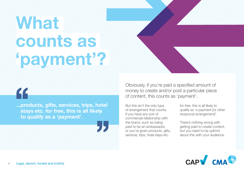### <span id="page-5-0"></span> **What counts as payment**

**...products, gifts, services, trips, hotel stays etc. for free, this is all likely to qualify as a 'payment'.**

Obviously, if you're paid a specified amount of money to create and/or post a particular piece of content, this counts as 'payment'.

But this isn't the only type of arrangement that counts. If you have any sort of commercial relationship with the brand, such as being paid to be an ambassador, or you're given products, gifts, services, trips, hotel stays etc.

for free, this is all likely to qualify as 'a payment [or other reciprocal arrangement]'.

There's nothing wrong with getting paid to create content, but you need to be upfront about this with your audience.

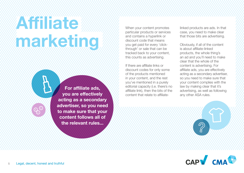## <span id="page-6-0"></span> **Affiliate marketing**

**For affiliate ads, you are effectively acting as a secondary advertiser, so you need to make sure that your content follows all of the relevant rules...**

When your content promotes particular products or services and contains a hyperlink or discount code that means you get paid for every 'clickthrough' or sale that can be tracked back to your content, this counts as advertising.

If there are affiliate links or discount codes for only some of the products mentioned in your content, and the rest you've mentioned in a purely editorial capacity (i.e. there's no affiliate link), then the bits of the content that relate to affiliatelinked products are ads. In that case, you need to make clear that those bits are advertising.

Obviously, if all of the content is about affiliate-linked products, the whole thing's an ad and you'll need to make clear that the whole of the content is advertising. For affiliate ads, you are effectively acting as a secondary advertiser, so you need to make sure that your content complies with the law by making clear that it's advertising, as well as following any other ASA rules.

 $\mathcal{D}_{\mathbf{R}}$ 

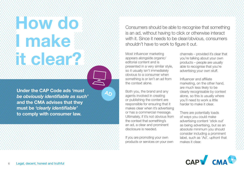### <span id="page-7-0"></span>**How do I make it clear?**

**Under the CAP Code ads** *'must be obviously identifiable as such'* **and the CMA advises that they must be** *'clearly identifiable'* **to comply with consumer law.** 

Consumers should be able to recognise that something is an ad, without having to click or otherwise interact with it. Since it needs to be clear/obvious, consumers shouldn't have to work to figure it out.

Most influencer marketing appears alongside organic/ editorial content and is presented in a very similar style, so it usually isn't immediately obvious to a consumer when something is or isn't an ad from the context alone.

Both you, the brand and any agents involved in creating or publishing the content are responsible for ensuring that it makes clear when it's advertising or has a commercial message. Ultimately, if it's not obvious from the context that something's an ad, a clear and prominent disclosure is needed.

**AD**

If you are promoting your own products or services on your own channels – provided it's clear that you're talking about your own products – people are usually able to recognise that you're advertising your own stuff.

Influencer and affiliate marketing, on the other hand, are much less likely to be clearly recognisable by context alone, so this is usually where you'll need to work a little harder to make it clear.

There are potentially loads of ways you could make advertising content 'stick out' as being advertising, but as an absolute minimum you should consider including a prominent label, such as 'Ad', upfront that makes it clear.

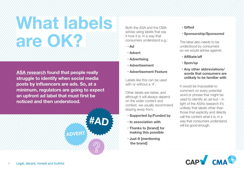# <span id="page-8-0"></span> **What labels are OK?**

Both the ASA and the CMA advise using labels that say it how it is, in a way that consumers understand e.g.;

- **Ad**
- **Advert**
- **Advertising**
- **Advertisement**
- **Advertisement Feature**

Labels like this can be used with or without a '#'

Other labels are riskier, and although it will always depend on the wider content and context, we usually recommend staying away from;

- **Supported by/Funded by**
- **In association with**
- **Thanks to [brand] for making this possible**
- **Just @ [mentioning the brand]**

#### **• Gifted**

 **• Sponsorship/Sponsored**

The label also needs to be understood by consumers so we would advise against;

- **Affiliate/aff**
- **Spon/sp**
- **Any other abbreviations/ words that consumers are unlikely to be familiar with**

It would be impossible to comment on every potential word or phrase that might be used to identify an ad but – in light of the ASA's research it's unlikely that labels other than those that explicitly and directly call the content what it is, in a way that consumers understand, will be good enough.



**[ASA research](https://www.asa.org.uk/news/clarity-for-consumers-why-ad-is-essential-in-paid-influencer-posts.html) found that people really struggle to identify when social media posts by influencers are ads. So, at a minimum, regulators are going to expect an upfront ad label that must first be noticed and then understood.** 

**ADVERT**

**#AD**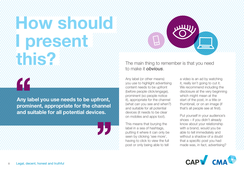# <span id="page-9-0"></span>**How should I present this?**

**Any label you use needs to be upfront, prominent, appropriate for the channel and suitable for all potential devices.**

The main thing to remember is that you need to make it *obvious*.

Any label (or other means) you use to highlight advertising content needs to be upfront (before people click/engage), prominent (so people notice it), appropriate for the channel (what can you see and when?) and suitable for all potential devices (it needs to be clear on mobiles and apps too!).

This means that burying the label in a sea of hashtags, putting it where it can only be seen by clicking 'see more', having to click to view the full post or only being able to tell

a video is an ad by watching it, really isn't going to cut it. We recommend including the disclosure at the very beginning which might mean at the start of the post, in a title or thumbnail, or on an image (if that's all people see at first).

Put yourself in your audience's shoes – if you didn't already know about your relationship with a brand, would you be able to tell immediately and without a shadow of a doubt that a specific post you had made was, in fact, advertising?

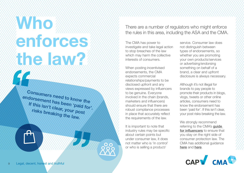### <span id="page-10-0"></span>**Who Who NO enforces the law?**

**Consumers need to know the endorsement has been 'paid for'. If this isn't clear, your post risks breaking the law.**

There are a number of regulators who might enforce the rules in this area, including the ASA and the CMA.

The CMA has power to investigate and take legal action to stop breaches of the law which may harm the collective interests of consumers.

When posting incentivised endorsements, the CMA expects commercial relationships/payments to be disclosed upfront and any views expressed by influencers to be genuine. Everyone involved in the chain (brands, marketers and influencers) should ensure that there are robust compliance processes in place that accurately reflect the requirements of the law.

It is important to note that industry rules may be specific about certain points but under consumer law, it does not matter who is 'in control' or who is selling a product/

service. Consumer law does not distinguish between types of endorsements, so whether you are promoting your own products/services or advertising/endorsing something on behalf of a brand, a clear and upfront disclosure is always necessary.

Although it's not illegal for brands to pay people to promote their products in blogs, vlogs, tweets or other online articles, consumers need to know the endorsement has been 'paid for'. If this isn't clear, your post risks breaking the law.

We strongly recommend referring to the CMA's quide [for influencers](https://www.gov.uk/government/publications/social-media-endorsements-guide-for-influencers) to ensure that you stay on the right side of consumer protection law. The CMA has additional guidance [here](https://www.gov.uk/government/collections/online-reviews-and-endorsements-information-for-businesses) and [here](https://competitionandmarkets.blog.gov.uk/2019/04/30/influencer-marketing-what-you-need-to-know/).

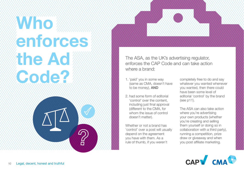## <span id="page-11-0"></span> **Who enforces the Ad Code?**

The ASA, as the UK's advertising regulator, enforces the CAP Code and can take action where a brand:

- 1. 'paid' you in some way (same as CMA, doesn't have to be money), AND
- 2. had some form of editorial 'control' over the content, including just final approval (different to the CMA, for whom the issue of control doesn't matter).

Whether or not a brand has 'control' over a post will usually depend on the agreement you have with them. As a rule of thumb, if you weren't

completely free to do and say whatever you wanted whenever you wanted, then there could have been some level of editorial 'control' by the brand (see p11).

The ASA can also take action where you're advertising your own products (whether you're creating and selling them yourself or doing so in collaboration with a third party), running a competition, prize draw or giveaway and when you post affiliate marketing.

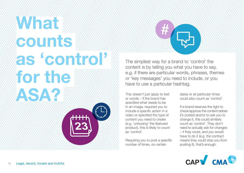### <span id="page-12-0"></span> **What counts as 'control' for the ASA?**

The simplest way for a brand to 'control' the content is by telling you what you have to say, e.g. if there are particular words, phrases, themes or 'key messages' you need to include, or you have to use a particular hashtag.

This doesn't just apply to text or words – if the brand has specified what needs to be in an image, required you to include a specific action in a video or specified the type of content you need to create (e.g. 'unboxing' the featured product), this is likely to count as 'control'.

Requiring you to post a specific number of times, on certain

dates or at particular times could also count as 'control'.

If a brand reserves the right to check/approve the content before it's posted and/or to ask you to change it, this could similarly count as 'control'. They don't need to actually ask for changes – if they could, and you would have to do it (e.g. the contract means they could stop you from posting it), that's enough.

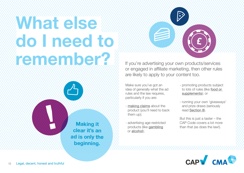## <span id="page-13-0"></span> **What else do I need to remember 2** If you're advertising your own products/services

**Making it clear it's an ad is only the beginning.**

or engaged in affiliate marketing, then other rules are likely to apply to your content too.

,,,,,,,,,,,,,,,,,,,,,,,,,,,

 $\ddot{v}$ 

Make sure you've got an idea of generally what the ad rules and the law requires, particularly if you are:

- [making claims](https://www.asa.org.uk/type/non_broadcast/code_section/03.html) about the product (you'll need to back them up);
- advertising age-restricted products (like [gambling](http://) or [alcohol](https://www.asa.org.uk/type/non_broadcast/code_section/18.html));
- promoting products subject to lots of rules (like [food or](https://www.asa.org.uk/type/non_broadcast/code_section/15.html)  [supplements](https://www.asa.org.uk/type/non_broadcast/code_section/15.html)); or
- running your own 'giveaways' and prize draws (seriously read [Section 8](https://www.asa.org.uk/type/non_broadcast/code_section/08.html)).

But this is just a taster – the CAP Code covers a lot more than that (as does the law!).

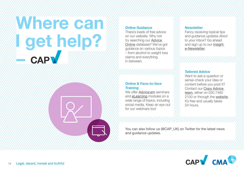### **Where can I get help? CAP**

#### **Online Guidance**

There's loads of free advice on our website. Why not try searching our [Advice](https://www.asa.org.uk/advice-and-resources/resource-library.html)  [Online](https://www.asa.org.uk/advice-and-resources/resource-library.html) database? We've got guidance on various topics – from alcohol to weight loss claims and everything in between.

#### **Online & Face-to-face Training**

We offer Advice: am seminars and [eLearning](https://www.asa.org.uk/advice-and-resources/cap-elearning.html) modules on a wide range of topics, including social media. Keep an eye out for our webinars too!

#### **Newsletter**

Fancy receiving topical tips and guidance updates direct to your inbox? Go ahead and sign up to our [Insight](https://www.asa.org.uk/newsletter.html)  [e-Newsletter](https://www.asa.org.uk/newsletter.html).

#### **Tailored Advice**

Want to ask a question or sense-check your idea or content before you post it? Contact our [Copy Advice](https://www.asa.org.uk/advice-and-resources/bespoke-copy-advice.html) team, either on 020 7492 2100 or through the website. It's free and usually takes 24 hours.

You can also follow us (@CAP\_UK) on Twitter for the latest news and guidance updates.

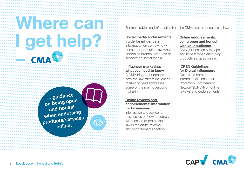### <span id="page-16-0"></span> **Where can I get help? –**

**... guidance on being open and honest when endorsing products/services online.**

ريىس  $\bigcap$ 

For more advice and information from the CMA, see the resources below;

#### **[Social media endorsements:](https://www.gov.uk/government/publications/social-media-endorsements-guide-for-influencers) [guide for influencers](https://www.gov.uk/government/publications/social-media-endorsements-guide-for-influencers)**

Information on complying with consumer protection law when endorsing brands, products or services on social media.

#### **[Influencer marketing:](https://competitionandmarkets.blog.gov.uk/2019/04/30/influencer-marketing-what-you-need-to-know/) [what you need to know](https://competitionandmarkets.blog.gov.uk/2019/04/30/influencer-marketing-what-you-need-to-know/)**

A CMA blog that unpacks how the law affects influencer marketing, and addresses some of the main questions that arise.

#### **[Online reviews and](https://www.gov.uk/government/collections/online-reviews-and-endorsements-information-for-businesses)  [endorsements: information](https://www.gov.uk/government/collections/online-reviews-and-endorsements-information-for-businesses)  [for businesses](https://www.gov.uk/government/collections/online-reviews-and-endorsements-information-for-businesses)**

Information and advice for businesses on how to comply with consumer protection law in the online reviews and endorsements sectors.

#### **[Online endorsements:](https://www.gov.uk/government/publications/online-reviews-and-endorsements-advice-for-businesses/online-endorsements-being-open-and-honest-with-your-audience) [being open and honest](https://www.gov.uk/government/publications/online-reviews-and-endorsements-advice-for-businesses/online-endorsements-being-open-and-honest-with-your-audience) [with your audience](https://www.gov.uk/government/publications/online-reviews-and-endorsements-advice-for-businesses/online-endorsements-being-open-and-honest-with-your-audience)**

CMA guidance on being open and honest when endorsing products/services online.

#### **[ICPEN Guidelines](https://www.icpen.org/sites/default/files/2017-06/ICPEN-ORE-Guidelines%20for%20Digital%20Influencers-JUN2016.pdf) [for Digital Influencers](https://www.icpen.org/sites/default/files/2017-06/ICPEN-ORE-Guidelines%20for%20Digital%20Influencers-JUN2016.pdf)**

Guidelines from the International Consumer Protection Enforcement Network (ICPEN) on online reviews and endorsements.

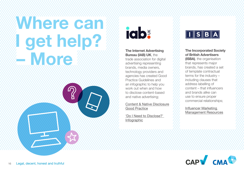### <span id="page-17-0"></span> **Where can I get help? – More**





**The Internet Advertising Bureau (IAB) UK**, the trade association for digital advertising representing brands, media owners, technology providers and agencies has created Good Practice Guidelines and an infographic to help you work out when and how to disclose content-based and native advertising;

[Content & Native Disclosure](https://www.iabuk.com/sites/default/files/public_files/IAB%20UK%20content%20and%20native%20disclosure%20guidelines%20v.2%20%282018%29.pdf)  [Good Practice](https://www.iabuk.com/sites/default/files/public_files/IAB%20UK%20content%20and%20native%20disclosure%20guidelines%20v.2%20%282018%29.pdf)

['Do I Need to Disclose?'](https://www.iabuk.com/sites/default/files/public_files/disclosure%20new%20branding.pdf)  [Infographic](https://www.iabuk.com/sites/default/files/public_files/disclosure%20new%20branding.pdf)



**The Incorporated Society of British Advertisers (ISBA)**, the organisation that represents major brands, has created a set of template contractual terms for the industry – including clauses that address labelling of content – that influencers and brands alike can use to ensure proper commercial relationships;

[Influencer Marketing](https://www.isba.org.uk/knowledge/agency-management/influencer-marketing-management/)  [Management Resources](https://www.isba.org.uk/knowledge/agency-management/influencer-marketing-management/)